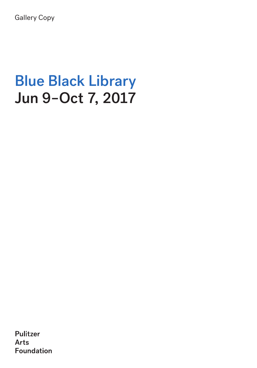Gallery Copy

# Blue Black Library Jun 9–Oct 7, 2017

Pulitzer **Arts Foundation**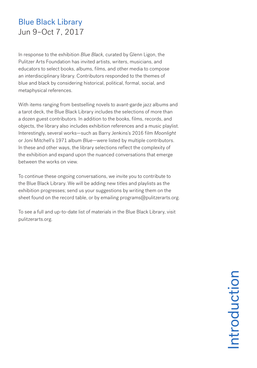## Blue Black Library Jun 9–Oct 7, 2017

In response to the exhibition *Blue Black,* curated by Glenn Ligon, the Pulitzer Arts Foundation has invited artists, writers, musicians, and educators to select books, albums, films, and other media to compose an interdisciplinary library. Contributors responded to the themes of blue and black by considering historical, political, formal, social, and metaphysical references.

With items ranging from bestselling novels to avant-garde jazz albums and a tarot deck, the Blue Black Library includes the selections of more than a dozen guest contributors. In addition to the books, films, records, and objects, the library also includes exhibition references and a music playlist. Interestingly, several works—such as Barry Jenkins's 2016 film *Moonlight* or Joni Mitchell's 1971 album *Blue*—were listed by multiple contributors. In these and other ways, the library selections reflect the complexity of the exhibition and expand upon the nuanced conversations that emerge between the works on view.

To continue these ongoing conversations, we invite you to contribute to the Blue Black Library. We will be adding new titles and playlists as the exhibition progresses; send us your suggestions by writing them on the sheet found on the record table, or by emailing programs@pulitzerarts.org.

To see a full and up-to-date list of materials in the Blue Black Library, visit pulitzerarts.org.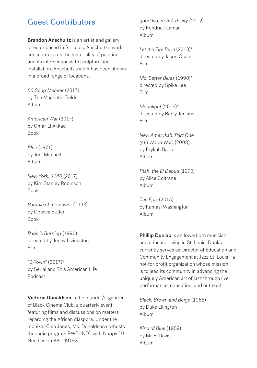#### Guest Contributors

**Brandon Anschultz** is an artist and gallery director based in St. Louis, Anschultz's work concentrates on the materiality of painting and its intersection with sculpture and installation. Anschultz's work has been shown in a broad range of locations.

*50 Song Memoir* (2017) by The Magnetic Fields Album

*American War* (2017) by Omar El Akkad Book

*Blue* (1971) by Joni Mitchell Album

*New York: 2140* (2017) by Kim Stanley Robinson Book

*Parable of the Sower* (1993) by Octavia Butler Book

*Paris is Burning* (1990)\* directed by Jenny Livingston Film

"S-Town" (2017)\* by Serial and This American Life Podcast

Victoria Donaldson is the founder/organizer of Black Cinema Club, a quarterly event featuring films and discussions on matters regarding the African diaspora. Under the moniker Cleo Jones, Ms. Donaldson co-hosts the radio program RWTHNTC with Nappy DJ Needles on 88.1 KDHX.

*good kid, m.A.A.d. city* (2012) by Kendrick Lamar Album

*Let the Fire Burn* (2013)\* directed by Jason Osder Film

*Mo' Better Blues* (1990)\* directed by Spike Lee Film

*Moonlight* (2016)\* directed by Barry Jenkins Film

*New Amerykah, Part One (4th World War)* (2008) by Erykah Badu Album

*Ptah, the El Daoud* (1970) by Alice Coltrane Album

*The Epic* (2015) by Kamasi Washington Album

Phillip Dunlap is an Iowa-born musician and educator living in St. Louis. Dunlap currently serves as Director of Education and Community Engagement at Jazz St. Louis—a not-for-profit organization whose mission is to lead its community in advancing the uniquely American art of jazz through live performance, education, and outreach.

*Black, Brown and Beige* (1958) by Duke Ellington Album

*Kind of Blue* (1959) by Miles Davis Album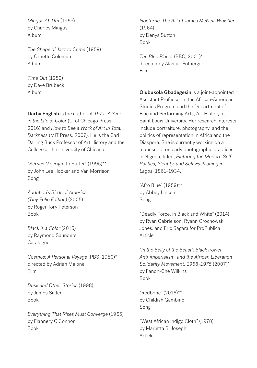*Mingus Ah Um* (1959) by Charles Mingus Album

*The Shape of Jazz to Come* (1959) by Ornette Coleman Album

*Time Out* (1959) by Dave Brubeck Album

Darby English is the author of *1971: A Year in the Life of Color* (U. of Chicago Press, 2016) and *How to See a Work of Art in Total Darkness* (MIT Press, 2007). He is the Carl Darling Buck Professor of Art History and the College at the University of Chicago.

"Serves Me Right to Suffer" (1995)\*\* by John Lee Hooker and Van Morrison Song

*Audubon's Birds of America (Tiny Folio Edition)* (2005) by Roger Tory Peterson Book

*Black is a Color* (2015) by Raymond Saunders Catalogue

*Cosmos: A Personal Voyage* (PBS, 1980)\* directed by Adrian Malone Film

*Dusk and Other Stories* (1998) by James Salter Book

*Everything That Rises Must Converge* (1965) by Flannery O'Connor Book

*Nocturne: The Art of James McNeill Whistler*  (1964) by Denys Sutton Book

*The Blue Planet* (BBC, 2001)\* directed by Alastair Fothergill Film

Olubukola Gbadegesin is a joint-appointed Assistant Professor in the African-American Studies Program and the Department of Fine and Performing Arts, Art History, at Saint Louis University. Her research interests include portraiture, photography, and the politics of representation in Africa and the Diaspora. She is currently working on a manuscript on early photographic practices in Nigeria, titled, *Picturing the Modern Self: Politics, Identity, and Self-Fashioning in Lagos*, 1861–1934.

"Afro Blue" (1959)\*\* by Abbey Lincoln Song

"Deadly Force, in Black and White" (2014) by Ryan Gabrielson, Ryann Grochowski Jones, and Eric Sagara for ProPublica Article

*"In the Belly of the Beast": Black Power, Anti-imperialism, and the African Liberation Solidarity Movement, 1968–1975* (2007)\* by Fanon-Che Wilkins Book

"Redbone" (2016)\*\* by Childish Gambino Song

"West African Indigo Cloth" (1978) by Marietta B. Joseph Article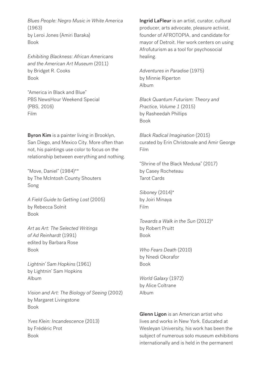*Blues People: Negro Music in White America*  (1963) by Leroi Jones (Amiri Baraka) Book

*Exhibiting Blackness: African Americans and the American Art Museum* (2011) by Bridget R. Cooks Book

"America in Black and Blue" PBS NewsHour Weekend Special (PBS, 2016) Film

Byron Kim is a painter living in Brooklyn, San Diego, and Mexico City. More often than not, his paintings use color to focus on the relationship between everything and nothing.

"Move, Daniel" (1984)\*\* by The McIntosh County Shouters Song

*A Field Guide to Getting Lost* (2005) by Rebecca Solnit Book

*Art as Art: The Selected Writings of Ad Reinhardt* (1991) edited by Barbara Rose Book

*Lightnin' Sam Hopkins* (1961) by Lightnin' Sam Hopkins Album

*Vision and Art: The Biology of Seeing* (2002) by Margaret Livingstone Book

*Yves Klein: Incandescence* (2013) by Frédéric Prot Book

Ingrid LaFleur is an artist, curator, cultural producer, arts advocate, pleasure activist, founder of AFROTOPIA, and candidate for mayor of Detroit. Her work centers on using Afrofuturism as a tool for psychosocial healing.

*Adventures in Paradise* (1975) by Minnie Riperton Album

*Black Quantum Futurism: Theory and Practice, Volume 1* (2015) by Rasheedah Phillips Book

*Black Radical Imagination* (2015) curated by Erin Christovale and Amir George Film

"Shrine of the Black Medusa" (2017) by Casey Rocheteau Tarot Cards

*Siboney* (2014)\* by Joiri Minaya Film

*Towards a Walk in the Sun* (2012)\* by Robert Pruitt Book

*Who Fears Death* (2010) by Nnedi Okorafor Book

*World Galaxy* (1972) by Alice Coltrane Album

Glenn Ligon is an American artist who lives and works in New York. Educated at Wesleyan University, his work has been the subject of numerous solo museum exhibitions internationally and is held in the permanent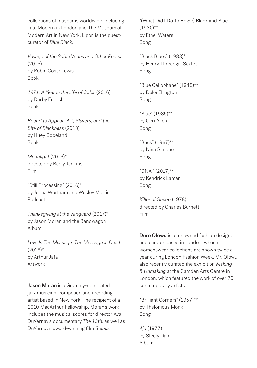collections of museums worldwide, including Tate Modern in London and The Museum of Modern Art in New York. Ligon is the guestcurator of *Blue Black*.

*Voyage of the Sable Venus and Other Poems*  (2015) by Robin Coste Lewis Book

*1971: A Year in the Life of Color* (2016) by Darby English Book

*Bound to Appear: Art, Slavery, and the Site of Blackness* (2013) by Huey Copeland Book

*Moonlight* (2016)\* directed by Barry Jenkins Film

"Still Processing" (2016)\* by Jenna Wortham and Wesley Morris Podcast

*Thanksgiving at the Vanguard* (2017)\* by Jason Moran and the Bandwagon Album

*Love Is The Message, The Message Is Death*   $(2016)^*$ by Arthur Jafa Artwork

Jason Moran is a Grammy-nominated jazz musician, composer, and recording artist based in New York. The recipient of a 2010 MacArthur Fellowship, Moran's work includes the musical scores for director Ava DuVernay's documentary *The 13th*, as well as DuVernay's award-winning film *Selma*.

"(What Did I Do To Be So) Black and Blue"  $(1930)$ \*\* by Ethel Waters Song

"Black Blues" (1983)\* by Henry Threadgill Sextet Song

"Blue Cellophane" (1945)\*\* by Duke Ellington Song

"Blue" (1985)\*\* by Geri Allen Song

"Buck" (1967)\*\* by Nina Simone Song

"DNA." (2017)\*\* by Kendrick Lamar Song

*Killer of Sheep* (1978)\* directed by Charles Burnett Film

**Duro Olowu** is a renowned fashion designer and curator based in London, whose womenswear collections are shown twice a year during London Fashion Week. Mr. Olowu also recently curated the exhibition *Making & Unmaking* at the Camden Arts Centre in London, which featured the work of over 70 contemporary artists.

"Brilliant Corners" (1957)\*\* by Thelonious Monk Song

*Aja* (1977) by Steely Dan Album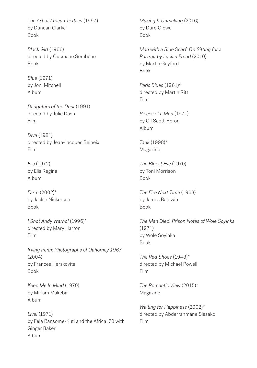*The Art of African Textiles* (1997) by Duncan Clarke Book

*Black Girl* (1966) directed by Ousmane Sèmbène Book

*Blue* (1971) by Joni Mitchell Album

*Daughters of the Dust* (1991) directed by Julie Dash Film

*Diva* (1981) directed by Jean-Jacques Beineix Film

*Elis* (1972) by Elis Regina Album

*Farm* (2002)\* by Jackie Nickerson Book

*I Shot Andy Warhol* (1996)\* directed by Mary Harron Film

*Irving Penn: Photographs of Dahomey 1967*  (2004) by Frances Herskovits Book

*Keep Me In Mind* (1970) by Miriam Makeba Album

*Live!* (1971) by Fela Ransome-Kuti and the Africa '70 with Ginger Baker Album

*Making & Unmaking* (2016) by Duro Olowu Book

*Man with a Blue Scarf: On Sitting for a Portrait by Lucian Freud* (2010) by Martin Gayford Book

*Paris Blues* (1961)\* directed by Martin Ritt Film

*Pieces of a Man* (1971) by Gil Scott-Heron Album

*Tank* (1998)\* Magazine

*The Bluest Eye* (1970) by Toni Morrison Book

*The Fire Next Time* (1963) by James Baldwin Book

*The Man Died: Prison Notes of Wole Soyinka*  (1971) by Wole Soyinka Book

*The Red Shoes* (1948)\* directed by Michael Powell Film

*The Romantic View* (2015)\* Magazine

*Waiting for Happiness* (2002)\* directed by Abderrahmane Sissako Film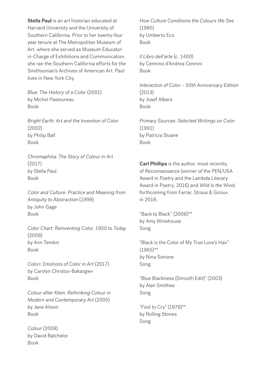Stella Paul is an art historian educated at Harvard University and the University of Southern California. Prior to her twenty-four year tenure at The Metropolitan Museum of Art, where she served as Museum Educatorin-Charge of Exhibitions and Communication, she ran the Southern California efforts for the Smithsonian's Archives of American Art. Paul lives in New York City.

*Blue: The History of a Color* (2001) by Michel Pastoureau Book

*Bright Earth: Art and the Invention of Color*  (2002) by Philip Ball Book

*Chromaphilia: The Story of Colour in Art*  (2017) by Stella Paul Book

*Color and Culture: Practice and Meaning from Antiquity to Abstraction* (1999) by John Gage Book

*Color Chart: Reinventing Color, 1950 to Today*  (2008) by Ann Temkin Book

*Colori: Emotions of Color in Art* (2017) by Carolyn Christov-Bakargiev Book

*Colour after Klein: Rethinking Colour in Modern and Contemporary Art* (2005) by Jane Alison Book

*Colour* (2008) by David Batchelor Book

*How Culture Conditions the Colours We See*  (1985) by Umberto Eco Book

*Il Libro dell'arte* (c. 1400) by Cennino d'Andrea Cennini Book

*Interaction of Color – 50th Anniversary Edition*  (2013) by Josef Albers Book

*Primary Sources: Selected Writings on Color*  (1991) by Patricia Sloane Book

Carl Phillips is the author, most recently, of *Reconnaissance* (winner of the PEN/USA Award in Poetry and the Lambda Literary Award in Poetry, 2016) and *Wild Is the Wind*, forthcoming from Farrar, Straus & Giroux in 2018.

"Back to Black" (2006)\*\* by Amy Winehouse Song

"Black is the Color of My True Love's Hair"  $(1965)$ \*\* by Nina Simone Song

"Blue Blackness (Smooth Edit)" (2003) by Alan Smithee Song

"Fool to Cry" (1976)\*\* by Rolling Stones Song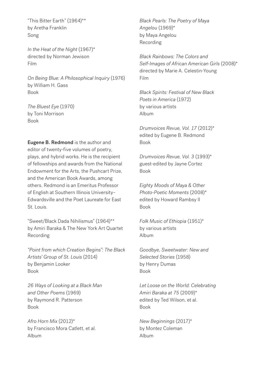"This Bitter Earth" (1964)\*\* by Aretha Franklin Song

*In the Heat of the Night* (1967)\* directed by Norman Jewison Film

*On Being Blue: A Philosophical Inquiry* (1976) by William H. Gass Book

*The Bluest Eye* (1970) by Toni Morrison Book

Eugene B. Redmond is the author and editor of twenty-five volumes of poetry, plays, and hybrid works. He is the recipient of fellowships and awards from the National Endowment for the Arts, the Pushcart Prize, and the American Book Awards, among others. Redmond is an Emeritus Professor of English at Southern Illinois University– Edwardsville and the Poet Laureate for East St. Louis.

"Sweet/Black Dada Nihilismus" (1964)\*\* by Amiri Baraka & The New York Art Quartet Recording

*"Point from which Creation Begins": The Black Artists' Group of St. Louis* (2014) by Benjamin Looker Book

*26 Ways of Looking at a Black Man and Other Poems* (1969) by Raymond R. Patterson Book

*Afro Horn Mix* (2012)\* by Francisco Mora Catlett, et al. Album

*Black Pearls: The Poetry of Maya Angelou* (1969)\* by Maya Angelou Recording

*Black Rainbows: The Colors and Self-Images of African American Girls* (2008)\* directed by Marie A. Celestin-Young Film

*Black Spirits: Festival of New Black Poets in America* (1972) by various artists Album

*Drumvoices Revue, Vol. 17* (2012)\* edited by Eugene B. Redmond Book

*Drumvoices Revue, Vol. 3* (1993)\* guest-edited by Jayne Cortez Book

*Eighty Moods of Maya & Other Photo-Poetic Moments* (2008)\* edited by Howard Rambsy II Book

*Folk Music of Ethiopia* (1951)\* by various artists Album

*Goodbye, Sweetwater: New and Selected Stories* (1958) by Henry Dumas Book

*Let Loose on the World: Celebrating Amiri Baraka at 75* (2009)\* edited by Ted Wilson, et al. Book

*New Beginnings* (2017)\* by Montez Coleman Album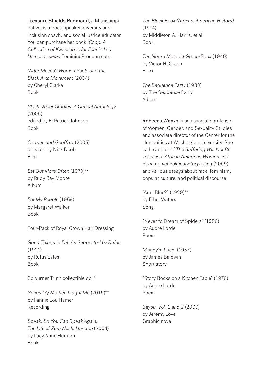Treasure Shields Redmond, a Mississippi native, is a poet, speaker, diversity and inclusion coach, and social justice educator. You can purchase her book, *Chop: A Collection of Kwansabas for Fannie Lou Hamer*, at www.FemininePronoun.com.

*"After Mecca": Women Poets and the Black Arts Movement* (2004) by Cheryl Clarke Book

*Black Queer Studies: A Critical Anthology*  (2005) edited by E. Patrick Johnson Book

*Carmen and Geoffrey* (2005) directed by Nick Doob Film

*Eat Out More Often* (1970)\*\* by Rudy Ray Moore Album

*For My People* (1969) by Margaret Walker Book

Four-Pack of Royal Crown Hair Dressing

*Good Things to Eat, As Suggested by Rufus*  (1911) by Rufus Estes Book

Sojourner Truth collectible doll\*

*Songs My Mother Taught Me* (2015)\*\* by Fannie Lou Hamer Recording

*Speak, So You Can Speak Again: The Life of Zora Neale Hurston* (2004) by Lucy Anne Hurston Book

*The Black Book (African-American History)*  (1974) by Middleton A. Harris, et al. Book

*The Negro Motorist Green-Book* (1940) by Victor H. Green Book

*The Sequence Party* (1983) by The Sequence Party Album

Rebecca Wanzo is an associate professor of Women, Gender, and Sexuality Studies and associate director of the Center for the Humanities at Washington University. She is the author of *The Suffering Will Not Be Televised: African American Women and Sentimental Political Storytelling* (2009) and various essays about race, feminism, popular culture, and political discourse.

"Am I Blue?" (1929)\*\* by Ethel Waters Song

"Never to Dream of Spiders" (1986) by Audre Lorde Poem

"Sonny's Blues" (1957) by James Baldwin Short story

"Story Books on a Kitchen Table" (1976) by Audre Lorde Poem

*Bayou, Vol. 1 and 2* (2009) by Jeremy Love Graphic novel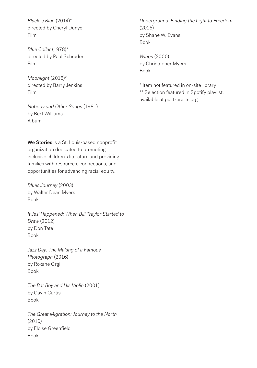*Black is Blue* (2014)\* directed by Cheryl Dunye Film

*Blue Collar* (1978)\* directed by Paul Schrader Film

*Moonlight* (2016)\* directed by Barry Jenkins Film

*Nobody and Other Songs* (1981) by Bert Williams Album

We Stories is a St. Louis-based nonprofit organization dedicated to promoting inclusive children's literature and providing families with resources, connections, and opportunities for advancing racial equity.

*Blues Journey* (2003) by Walter Dean Myers Book

*It Jes' Happened: When Bill Traylor Started to Draw* (2012) by Don Tate Book

*Jazz Day: The Making of a Famous Photograph* (2016) by Roxane Orgill Book

*The Bat Boy and His Violin* (2001) by Gavin Curtis Book

*The Great Migration: Journey to the North*  (2010) by Eloise Greenfield Book

*Underground: Finding the Light to Freedom*  (2015) by Shane W. Evans Book

*Wings* (2000) by Christopher Myers Book

\* Item not featured in on-site library \*\* Selection featured in Spotify playlist, available at pulitzerarts.org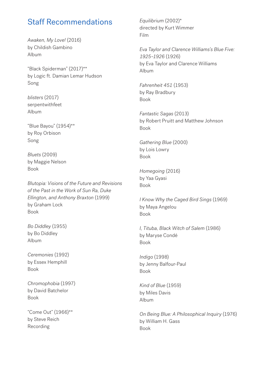### Staff Recommendations

*Awaken, My Love!* (2016) by Childish Gambino Album

"Black Spiderman" (2017)\*\* by Logic ft. Damian Lemar Hudson Song

*blisters* (2017) serpentwithfeet Album

"Blue Bayou" (1954)\*\* by Roy Orbison Song

*Bluets* (2009) by Maggie Nelson Book

*Blutopia: Visions of the Future and Revisions of the Past in the Work of Sun Ra, Duke Ellington, and Anthony Braxton* (1999) by Graham Lock Book

*Bo Diddley* (1955) by Bo Diddley Album

*Ceremonies* (1992) by Essex Hemphill Book

*Chromophobia* (1997) by David Batchelor Book

"Come Out" (1966)\*\* by Steve Reich Recording

*Equilibrium* (2002)\* directed by Kurt Wimmer Film

*Eva Taylor and Clarence Williams's Blue Five: 1925–1926* (1926) by Eva Taylor and Clarence Williams Album

*Fahrenheit 451* (1953) by Ray Bradbury Book

*Fantastic Sagas* (2013) by Robert Pruitt and Matthew Johnson Book

*Gathering Blue* (2000) by Lois Lowry Book

*Homegoing* (2016) by Yaa Gyasi Book

*I Know Why the Caged Bird Sings* (1969) by Maya Angelou Book

*I, Tituba, Black Witch of Salem* (1986) by Maryse Condé Book

*Indigo* (1998) by Jenny Balfour-Paul Book

*Kind of Blue* (1959) by Miles Davis Album

*On Being Blue: A Philosophical Inquiry* (1976) by William H. Gass Book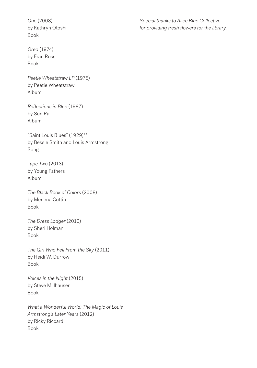*One* (2008) by Kathryn Otoshi Book

*Oreo* (1974) by Fran Ross Book

*Peetie Wheatstraw LP* (1975) by Peetie Wheatstraw Album

*Reflections in Blue* (1987) by Sun Ra Album

"Saint Louis Blues" (1929)\*\* by Bessie Smith and Louis Armstrong Song

*Tape Two* (2013) by Young Fathers Album

*The Black Book of Colors* (2008) by Menena Cottin Book

*The Dress Lodger* (2010) by Sheri Holman Book

*The Girl Who Fell From the Sky* (2011) by Heidi W. Durrow Book

*Voices in the Night* (2015) by Steve Millhauser Book

*What a Wonderful World: The Magic of Louis Armstrong's Later Years* (2012) by Ricky Riccardi Book

*Special thanks to Alice Blue Collective for providing fresh flowers for the library.*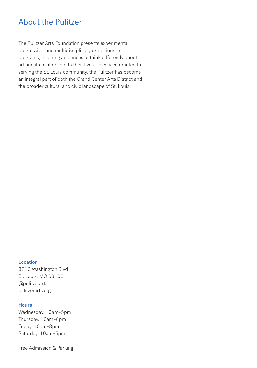## About the Pulitzer

The Pulitzer Arts Foundation presents experimental, progressive, and multidisciplinary exhibitions and programs, inspiring audiences to think differently about art and its relationship to their lives. Deeply committed to serving the St. Louis community, the Pulitzer has become an integral part of both the Grand Center Arts District and the broader cultural and civic landscape of St. Louis.

#### **Location**

3716 Washington Blvd St. Louis, MO 63108 @pulitzerarts pulitzerarts.org

#### **Hours**

Wednesday, 10am–5pm Thursday, 10am–8pm Friday, 10am–8pm Saturday, 10am–5pm

Free Admission & Parking